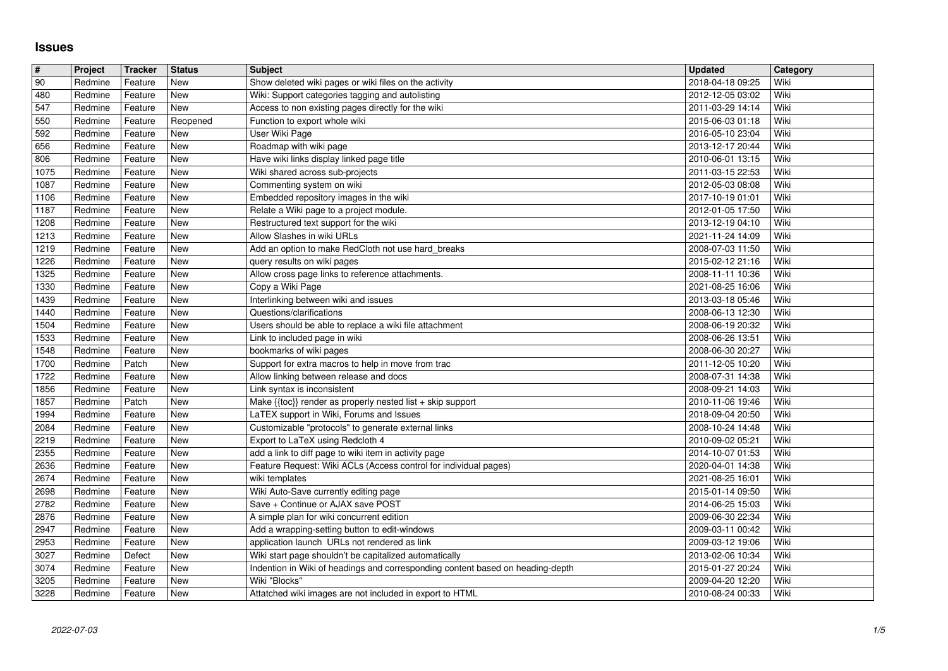## **Issues**

| $\overline{\boldsymbol{H}}$ | Project            | Tracker            | <b>Status</b>     | <b>Subject</b>                                                                                         | <b>Updated</b>                       | Category     |
|-----------------------------|--------------------|--------------------|-------------------|--------------------------------------------------------------------------------------------------------|--------------------------------------|--------------|
| 90                          | Redmine            | Feature            | <b>New</b>        | Show deleted wiki pages or wiki files on the activity                                                  | 2018-04-18 09:25                     | Wiki         |
| 480                         | Redmine            | Feature            | New               | Wiki: Support categories tagging and autolisting                                                       | 2012-12-05 03:02                     | Wiki         |
| 547<br>550                  | Redmine<br>Redmine | Feature<br>Feature | New<br>Reopened   | Access to non existing pages directly for the wiki<br>Function to export whole wiki                    | 2011-03-29 14:14<br>2015-06-03 01:18 | Wiki<br>Wiki |
| 592                         | Redmine            | Feature            | New               | User Wiki Page                                                                                         | 2016-05-10 23:04                     | Wiki         |
| 656                         | Redmine            | Feature            | New               | Roadmap with wiki page                                                                                 | 2013-12-17 20:44                     | Wiki         |
| 806                         | Redmine<br>Redmine | Feature            | New               | Have wiki links display linked page title<br>Wiki shared across sub-projects                           | 2010-06-01 13:15                     | Wiki<br>Wiki |
| 1075<br>1087                | Redmine            | Feature<br>Feature | New<br><b>New</b> | Commenting system on wiki                                                                              | 2011-03-15 22:53<br>2012-05-03 08:08 | Wiki         |
| 1106                        | Redmine            | Feature            | New               | Embedded repository images in the wiki                                                                 | 2017-10-19 01:01                     | Wiki         |
| 1187                        | Redmine            | Feature            | <b>New</b>        | Relate a Wiki page to a project module.                                                                | 2012-01-05 17:50                     | Wiki         |
| 1208                        | Redmine<br>Redmine | Feature<br>Feature | New<br>New        | Restructured text support for the wiki<br>Allow Slashes in wiki URLs                                   | 2013-12-19 04:10<br>2021-11-24 14:09 | Wiki<br>Wiki |
| 1213<br>1219                | Redmine            | Feature            | New               | Add an option to make RedCloth not use hard_breaks                                                     | 2008-07-03 11:50                     | Wiki         |
| 1226                        | Redmine            | Feature            | New               | query results on wiki pages                                                                            | 2015-02-12 21:16                     | Wiki         |
| 1325                        | Redmine            | Feature            | New               | Allow cross page links to reference attachments.                                                       | 2008-11-11 10:36                     | Wiki         |
| 1330<br>1439                | Redmine<br>Redmine | Feature<br>Feature | New<br><b>New</b> | Copy a Wiki Page<br>Interlinking between wiki and issues                                               | 2021-08-25 16:06<br>2013-03-18 05:46 | Wiki<br>Wiki |
| 1440                        | Redmine            | Feature            | New               | Questions/clarifications                                                                               | 2008-06-13 12:30                     | Wiki         |
| 1504                        | Redmine            | Feature            | New               | Users should be able to replace a wiki file attachment                                                 | 2008-06-19 20:32                     | Wiki         |
| 1533                        | Redmine            | Feature            | New               | Link to included page in wiki                                                                          | 2008-06-26 13:51                     | Wiki         |
| 1548<br>1700                | Redmine<br>Redmine | Feature<br>Patch   | New<br>New        | bookmarks of wiki pages<br>Support for extra macros to help in move from trac                          | 2008-06-30 20:27<br>2011-12-05 10:20 | Wiki<br>Wiki |
| 1722                        | Redmine            | Feature            | New               | Allow linking between release and docs                                                                 | 2008-07-31 14:38                     | Wiki         |
| 1856                        | Redmine            | Feature            | New               | Link syntax is inconsistent                                                                            | 2008-09-21 14:03                     | Wiki         |
| 1857                        | Redmine            | Patch              | New               | Make {{toc}} render as properly nested list + skip support                                             | 2010-11-06 19:46                     | Wiki         |
| 1994<br>2084                | Redmine<br>Redmine | Feature<br>Feature | New<br>New        | LaTEX support in Wiki, Forums and Issues<br>Customizable "protocols" to generate external links        | 2018-09-04 20:50<br>2008-10-24 14:48 | Wiki<br>Wiki |
| 2219                        | Redmine            | Feature            | New               | Export to LaTeX using Redcloth 4                                                                       | 2010-09-02 05:21                     | Wiki         |
| 2355                        | Redmine            | Feature            | New               | add a link to diff page to wiki item in activity page                                                  | 2014-10-07 01:53                     | Wiki         |
| 2636                        | Redmine            | Feature            | New               | Feature Request: Wiki ACLs (Access control for individual pages)                                       | 2020-04-01 14:38                     | Wiki         |
| 2674<br>2698                | Redmine<br>Redmine | Feature<br>Feature | New<br>New        | wiki templates                                                                                         | 2021-08-25 16:01<br>2015-01-14 09:50 | Wiki<br>Wiki |
| 2782                        | Redmine            | Feature            | New               | Wiki Auto-Save currently editing page<br>Save + Continue or AJAX save POST                             | 2014-06-25 15:03                     | Wiki         |
| 2876                        | Redmine            | Feature            | New               | A simple plan for wiki concurrent edition                                                              | 2009-06-30 22:34                     | Wiki         |
| 2947                        | Redmine            | Feature            | New               | Add a wrapping-setting button to edit-windows                                                          | 2009-03-11 00:42                     | Wiki         |
| 2953<br>3027                | Redmine<br>Redmine | Feature<br>Defect  | New<br><b>New</b> | application launch URLs not rendered as link<br>Wiki start page shouldn't be capitalized automatically | 2009-03-12 19:06<br>2013-02-06 10:34 | Wiki<br>Wiki |
| 3074                        | Redmine            | Feature            | New               | Indention in Wiki of headings and corresponding content based on heading-depth                         | 2015-01-27 20:24                     | Wiki         |
| 3205                        | Redmine            | Feature            | <b>New</b>        | Wiki "Blocks"                                                                                          | 2009-04-20 12:20                     | Wiki         |
|                             |                    |                    |                   |                                                                                                        |                                      |              |
|                             |                    |                    |                   |                                                                                                        |                                      |              |
|                             |                    |                    |                   |                                                                                                        |                                      |              |
|                             |                    |                    |                   |                                                                                                        |                                      |              |
|                             |                    |                    |                   |                                                                                                        |                                      |              |
|                             |                    |                    |                   |                                                                                                        |                                      |              |
|                             |                    |                    |                   |                                                                                                        |                                      |              |
|                             |                    |                    |                   |                                                                                                        |                                      |              |
|                             |                    |                    |                   |                                                                                                        |                                      |              |
|                             |                    |                    |                   |                                                                                                        |                                      |              |
|                             |                    |                    |                   |                                                                                                        |                                      |              |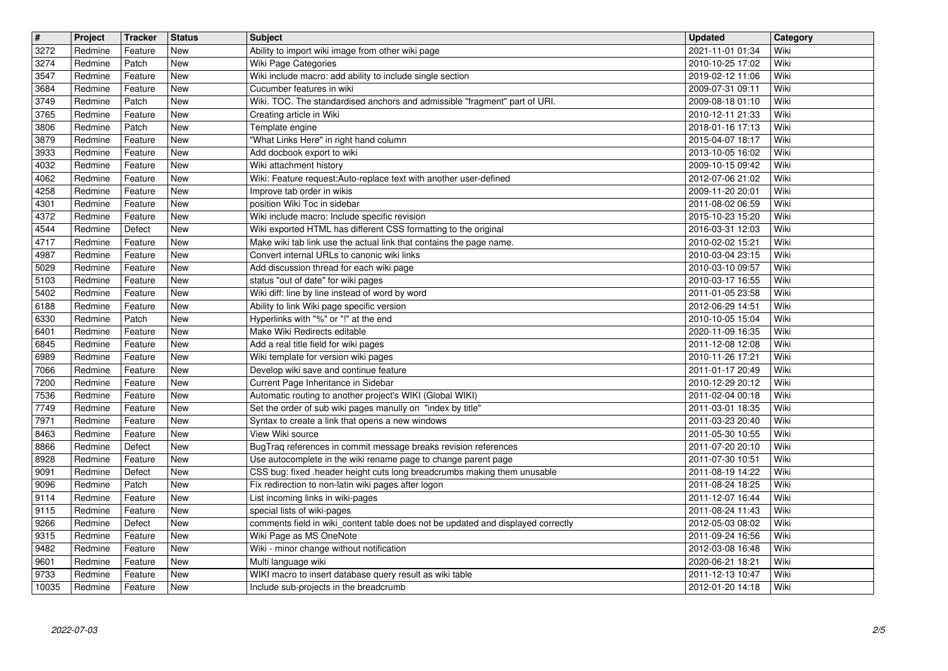| $\overline{\mathbf{t}}$ | Project | <b>Tracker</b> | <b>Status</b> | <b>Subject</b>                                                                   | <b>Updated</b>   | Category |
|-------------------------|---------|----------------|---------------|----------------------------------------------------------------------------------|------------------|----------|
| 3272                    | Redmine | Feature        | New           | Ability to import wiki image from other wiki page                                | 2021-11-01 01:34 | Wiki     |
| 3274                    | Redmine | Patch          | New           | Wiki Page Categories                                                             | 2010-10-25 17:02 | Wiki     |
| 3547                    | Redmine | Feature        | New           | Wiki include macro: add ability to include single section                        | 2019-02-12 11:06 | Wiki     |
| 3684                    | Redmine | Feature        | New           | Cucumber features in wiki                                                        | 2009-07-31 09:11 | Wiki     |
| 3749                    | Redmine | Patch          | New           | Wiki. TOC. The standardised anchors and admissible "fragment" part of URI.       | 2009-08-18 01:10 | Wiki     |
| 3765                    | Redmine | Feature        | New           | Creating article in Wiki                                                         | 2010-12-11 21:33 | Wiki     |
| 3806                    | Redmine | Patch          | New           | Template engine                                                                  | 2018-01-16 17:13 | Wiki     |
| 3879                    | Redmine | Feature        | New           | "What Links Here" in right hand column                                           | 2015-04-07 18:17 | Wiki     |
| 3933                    | Redmine | Feature        | New           | Add docbook export to wiki                                                       | 2013-10-05 16:02 | Wiki     |
| 4032                    | Redmine | Feature        | New           | Wiki attachment history                                                          | 2009-10-15 09:42 | Wiki     |
| 4062                    | Redmine | Feature        | <b>New</b>    | Wiki: Feature request:Auto-replace text with another user-defined                | 2012-07-06 21:02 | Wiki     |
| 4258                    | Redmine | Feature        | <b>New</b>    | Improve tab order in wikis                                                       | 2009-11-20 20:01 | Wiki     |
| 4301                    | Redmine | Feature        | New           | position Wiki Toc in sidebar                                                     | 2011-08-02 06:59 | Wiki     |
| 4372                    | Redmine | Feature        | New           | Wiki include macro: Include specific revision                                    | 2015-10-23 15:20 | Wiki     |
| 4544                    | Redmine | Defect         | New           | Wiki exported HTML has different CSS formatting to the original                  | 2016-03-31 12:03 | Wiki     |
| 4717                    | Redmine | Feature        | New           | Make wiki tab link use the actual link that contains the page name.              | 2010-02-02 15:21 | Wiki     |
| 4987                    | Redmine | Feature        | New           | Convert internal URLs to canonic wiki links                                      | 2010-03-04 23:15 | Wiki     |
| 5029                    | Redmine | Feature        | New           | Add discussion thread for each wiki page                                         | 2010-03-10 09:57 | Wiki     |
| 5103                    | Redmine | Feature        | New           | status "out of date" for wiki pages                                              | 2010-03-17 16:55 | Wiki     |
| 5402                    | Redmine | Feature        | <b>New</b>    | Wiki diff: line by line instead of word by word                                  | 2011-01-05 23:58 | Wiki     |
| 6188                    | Redmine | Feature        | <b>New</b>    | Ability to link Wiki page specific version                                       | 2012-06-29 14:51 | Wiki     |
| 6330                    | Redmine | Patch          | New           | Hyperlinks with "%" or "!" at the end                                            | 2010-10-05 15:04 | Wiki     |
| 6401                    | Redmine | Feature        | New           | Make Wiki Redirects editable                                                     | 2020-11-09 16:35 | Wiki     |
| 6845                    | Redmine | Feature        | New           | Add a real title field for wiki pages                                            | 2011-12-08 12:08 | Wiki     |
| 6989                    | Redmine | Feature        | New           | Wiki template for version wiki pages                                             | 2010-11-26 17:21 | Wiki     |
| 7066                    | Redmine | Feature        | New           | Develop wiki save and continue feature                                           | 2011-01-17 20:49 | Wiki     |
| 7200                    | Redmine | Feature        | New           | Current Page Inheritance in Sidebar                                              | 2010-12-29 20:12 | Wiki     |
| 7536                    | Redmine | Feature        | New           | Automatic routing to another project's WIKI (Global WIKI)                        | 2011-02-04 00:18 | Wiki     |
| 7749                    | Redmine | Feature        | <b>New</b>    | Set the order of sub wiki pages manully on "index by title"                      | 2011-03-01 18:35 | Wiki     |
| 7971                    | Redmine | Feature        | New           | Syntax to create a link that opens a new windows                                 | 2011-03-23 20:40 | Wiki     |
| 8463                    | Redmine | Feature        | New           | View Wiki source                                                                 | 2011-05-30 10:55 | Wiki     |
| 8866                    | Redmine | Defect         | New           | BugTraq references in commit message breaks revision references                  | 2011-07-20 20:10 | Wiki     |
| 8928                    | Redmine | Feature        | New           | Use autocomplete in the wiki rename page to change parent page                   | 2011-07-30 10:51 | Wiki     |
| 9091                    | Redmine | Defect         | New           | CSS bug: fixed .header height cuts long breadcrumbs making them unusable         | 2011-08-19 14:22 | Wiki     |
| 9096                    | Redmine | Patch          | New           | Fix redirection to non-latin wiki pages after logon                              | 2011-08-24 18:25 | Wiki     |
| 9114                    | Redmine | Feature        | New           | List incoming links in wiki-pages                                                | 2011-12-07 16:44 | Wiki     |
| 9115                    | Redmine | Feature        | New           | special lists of wiki-pages                                                      | 2011-08-24 11:43 | Wiki     |
| 9266                    | Redmine | Defect         | New           | comments field in wiki_content table does not be updated and displayed correctly | 2012-05-03 08:02 | Wiki     |
| 9315                    | Redmine | Feature        | New           | Wiki Page as MS OneNote                                                          | 2011-09-24 16:56 | Wiki     |
| 9482                    | Redmine | Feature        | New           | Wiki - minor change without notification                                         | 2012-03-08 16:48 | Wiki     |
| 9601                    | Redmine | Feature        | New           | Multi language wiki                                                              | 2020-06-21 18:21 | Wiki     |
| 9733                    | Redmine | Feature        | New           | WIKI macro to insert database query result as wiki table                         | 2011-12-13 10:47 | Wiki     |
| 10035                   | Redmine | Feature        | New           | Include sub-projects in the breadcrumb                                           | 2012-01-20 14:18 | Wiki     |
|                         |         |                |               |                                                                                  |                  |          |
|                         |         |                |               |                                                                                  |                  |          |
|                         |         |                |               |                                                                                  |                  |          |
|                         |         |                |               |                                                                                  |                  |          |
|                         |         |                |               |                                                                                  |                  |          |
|                         |         |                |               |                                                                                  |                  |          |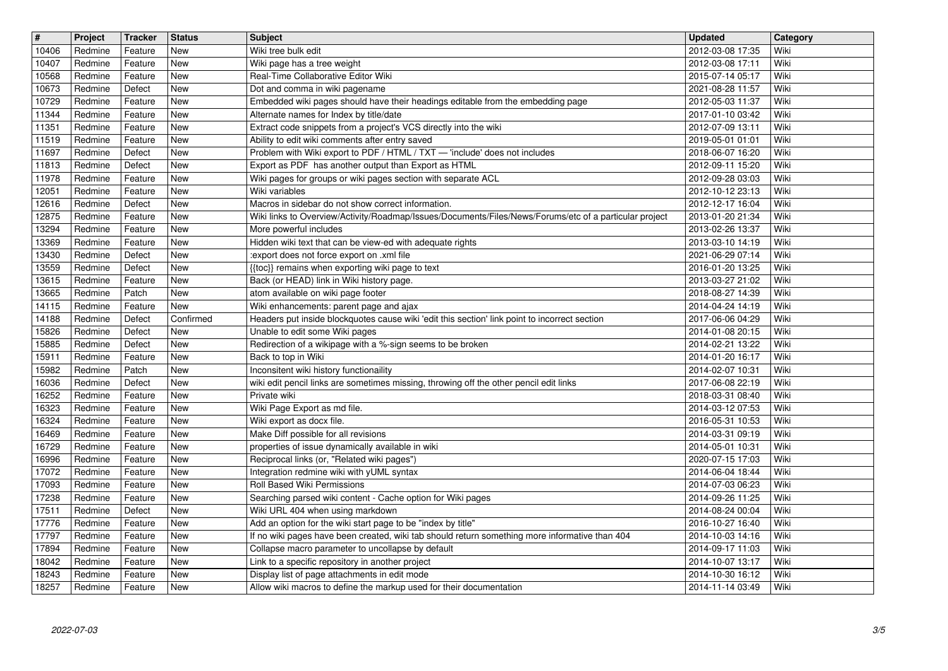| $\sqrt{t}$ | Project | <b>Tracker</b> | <b>Status</b> | <b>Subject</b>                                                                                         | <b>Updated</b>   | Category |
|------------|---------|----------------|---------------|--------------------------------------------------------------------------------------------------------|------------------|----------|
| 10406      | Redmine | Feature        | New           | Wiki tree bulk edit                                                                                    | 2012-03-08 17:35 | Wiki     |
| 10407      | Redmine | Feature        | New           | Wiki page has a tree weight                                                                            | 2012-03-08 17:11 | Wiki     |
| 10568      | Redmine | Feature        | <b>New</b>    | Real-Time Collaborative Editor Wiki                                                                    | 2015-07-14 05:17 | Wiki     |
| 10673      | Redmine | Defect         | New           | Dot and comma in wiki pagename                                                                         | 2021-08-28 11:57 | Wiki     |
| 10729      | Redmine | Feature        | New           | Embedded wiki pages should have their headings editable from the embedding page                        | 2012-05-03 11:37 | Wiki     |
| 11344      | Redmine | Feature        | New           | Alternate names for Index by title/date                                                                | 2017-01-10 03:42 | Wiki     |
| 11351      | Redmine | Feature        | New           | Extract code snippets from a project's VCS directly into the wiki                                      | 2012-07-09 13:11 | Wiki     |
| 11519      | Redmine | Feature        | New           | Ability to edit wiki comments after entry saved                                                        | 2019-05-01 01:01 | Wiki     |
| 11697      | Redmine | Defect         | New           | Problem with Wiki export to PDF / HTML / TXT - 'include' does not includes                             | 2018-06-07 16:20 | Wiki     |
| 11813      | Redmine | Defect         | New           | Export as PDF has another output than Export as HTML                                                   | 2012-09-11 15:20 | Wiki     |
| 11978      | Redmine | Feature        | New           | Wiki pages for groups or wiki pages section with separate ACL                                          | 2012-09-28 03:03 | Wiki     |
| 12051      | Redmine | Feature        | <b>New</b>    | Wiki variables                                                                                         | 2012-10-12 23:13 | Wiki     |
| 12616      | Redmine | Defect         | New           | Macros in sidebar do not show correct information.                                                     | 2012-12-17 16:04 | Wiki     |
| 12875      | Redmine | Feature        | New           | Wiki links to Overview/Activity/Roadmap/Issues/Documents/Files/News/Forums/etc of a particular project | 2013-01-20 21:34 | Wiki     |
| 13294      | Redmine | Feature        | New           | More powerful includes                                                                                 | 2013-02-26 13:37 | Wiki     |
| 13369      | Redmine | Feature        | New           | Hidden wiki text that can be view-ed with adequate rights                                              | 2013-03-10 14:19 | Wiki     |
| 13430      | Redmine | Defect         | New           | :export does not force export on .xml file                                                             | 2021-06-29 07:14 | Wiki     |
| 13559      | Redmine | Defect         | New           | {{toc}} remains when exporting wiki page to text                                                       | 2016-01-20 13:25 | Wiki     |
| 13615      | Redmine | Feature        | New           | Back (or HEAD) link in Wiki history page.                                                              | 2013-03-27 21:02 | Wiki     |
| 13665      | Redmine | Patch          | New           | atom available on wiki page footer                                                                     | 2018-08-27 14:39 | Wiki     |
| 14115      | Redmine | Feature        | New           | Wiki enhancements: parent page and ajax                                                                | 2014-04-24 14:19 | Wiki     |
| 14188      | Redmine | Defect         | Confirmed     | Headers put inside blockquotes cause wiki 'edit this section' link point to incorrect section          | 2017-06-06 04:29 | Wiki     |
| 15826      | Redmine | Defect         | New           | Unable to edit some Wiki pages                                                                         | 2014-01-08 20:15 | Wiki     |
| 15885      | Redmine | Defect         | New           | Redirection of a wikipage with a %-sign seems to be broken                                             | 2014-02-21 13:22 | Wiki     |
| 15911      | Redmine | Feature        | New           | Back to top in Wiki                                                                                    | 2014-01-20 16:17 | Wiki     |
| 15982      | Redmine | Patch          | New           | Inconsitent wiki history functionaility                                                                | 2014-02-07 10:31 | Wiki     |
| 16036      | Redmine | Defect         | New           | wiki edit pencil links are sometimes missing, throwing off the other pencil edit links                 | 2017-06-08 22:19 | Wiki     |
| 16252      | Redmine | Feature        | New           | Private wiki                                                                                           | 2018-03-31 08:40 | Wiki     |
| 16323      | Redmine | Feature        | New           | Wiki Page Export as md file.                                                                           | 2014-03-12 07:53 | Wiki     |
| 16324      | Redmine | Feature        | New           | Wiki export as docx file.                                                                              | 2016-05-31 10:53 | Wiki     |
| 16469      | Redmine | Feature        | New           | Make Diff possible for all revisions                                                                   | 2014-03-31 09:19 | Wiki     |
| 16729      | Redmine | Feature        | New           | properties of issue dynamically available in wiki                                                      | 2014-05-01 10:31 | Wiki     |
| 16996      | Redmine | Feature        | New           | Reciprocal links (or, "Related wiki pages")                                                            | 2020-07-15 17:03 | Wiki     |
| 17072      | Redmine | Feature        | New           | Integration redmine wiki with yUML syntax                                                              | 2014-06-04 18:44 | Wiki     |
| 17093      | Redmine | Feature        | New           | Roll Based Wiki Permissions                                                                            | 2014-07-03 06:23 | Wiki     |
| 17238      | Redmine | Feature        | New           | Searching parsed wiki content - Cache option for Wiki pages                                            | 2014-09-26 11:25 | Wiki     |
| 17511      | Redmine | Defect         | New           | Wiki URL 404 when using markdown                                                                       | 2014-08-24 00:04 | Wiki     |
| 17776      | Redmine | Feature        | New           | Add an option for the wiki start page to be "index by title"                                           | 2016-10-27 16:40 | Wiki     |
| 17797      | Redmine | Feature        | New           | If no wiki pages have been created, wiki tab should return something more informative than 404         | 2014-10-03 14:16 | Wiki     |
| 17894      | Redmine | Feature        | New           | Collapse macro parameter to uncollapse by default                                                      | 2014-09-17 11:03 | Wiki     |
| 18042      | Redmine | Feature        | New           | Link to a specific repository in another project                                                       | 2014-10-07 13:17 | Wiki     |
| 18243      | Redmine | Feature        | New           | Display list of page attachments in edit mode                                                          | 2014-10-30 16:12 | Wiki     |
| 18257      | Redmine | Feature        | New           | Allow wiki macros to define the markup used for their documentation                                    | 2014-11-14 03:49 | Wiki     |
|            |         |                |               |                                                                                                        |                  |          |
|            |         |                |               |                                                                                                        |                  |          |
|            |         |                |               |                                                                                                        |                  |          |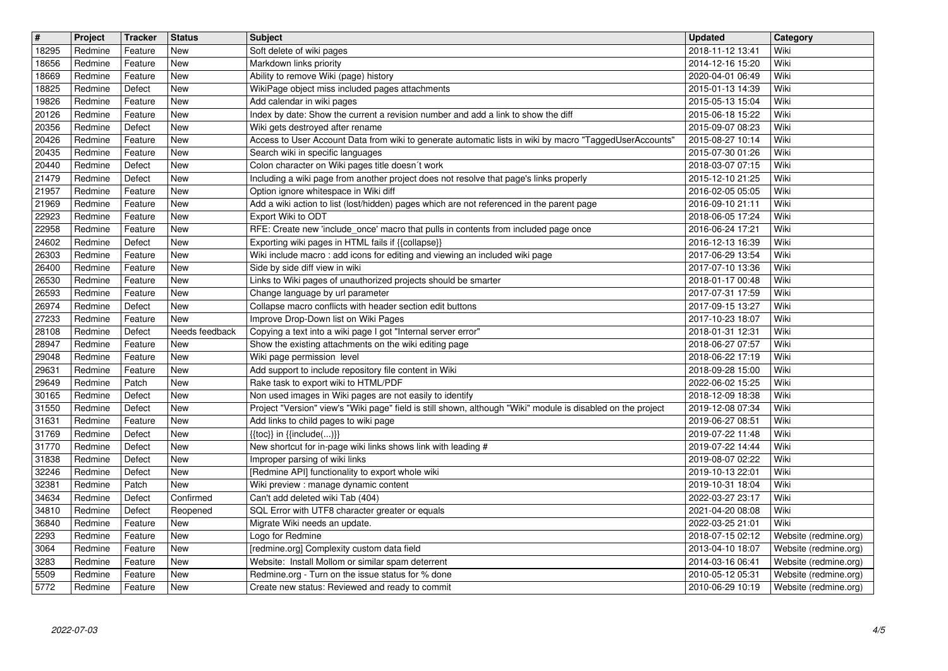| $\overline{\mathbf{H}}$ | Project | Tracker | <b>Status</b>  | <b>Subject</b>                                                                                               | <b>Updated</b>   | Category              |
|-------------------------|---------|---------|----------------|--------------------------------------------------------------------------------------------------------------|------------------|-----------------------|
| 18295                   | Redmine | Feature | New            | Soft delete of wiki pages                                                                                    | 2018-11-12 13:41 | Wiki                  |
| 18656                   | Redmine | Feature | New            | Markdown links priority                                                                                      | 2014-12-16 15:20 | Wiki                  |
| 18669                   | Redmine | Feature | <b>New</b>     | Ability to remove Wiki (page) history                                                                        | 2020-04-01 06:49 | Wiki                  |
| 18825                   | Redmine | Defect  | <b>New</b>     | WikiPage object miss included pages attachments                                                              | 2015-01-13 14:39 | Wiki                  |
| 19826                   | Redmine | Feature | <b>New</b>     | Add calendar in wiki pages                                                                                   | 2015-05-13 15:04 | Wiki                  |
| 20126                   | Redmine | Feature | <b>New</b>     | Index by date: Show the current a revision number and add a link to show the diff                            | 2015-06-18 15:22 | Wiki                  |
| 20356                   | Redmine | Defect  | New            | Wiki gets destroyed after rename                                                                             | 2015-09-07 08:23 | Wiki                  |
| 20426                   | Redmine | Feature | New            | Access to User Account Data from wiki to generate automatic lists in wiki by macro "TaggedUserAccounts'      | 2015-08-27 10:14 | Wiki                  |
| 20435                   | Redmine | Feature | New            | Search wiki in specific languages                                                                            | 2015-07-30 01:26 | Wiki                  |
| 20440                   | Redmine | Defect  | New            | Colon character on Wiki pages title doesn't work                                                             | 2018-03-07 07:15 | Wiki                  |
| 21479                   | Redmine | Defect  | <b>New</b>     | Including a wiki page from another project does not resolve that page's links properly                       | 2015-12-10 21:25 | Wiki                  |
| 21957                   | Redmine | Feature | <b>New</b>     | Option ignore whitespace in Wiki diff                                                                        | 2016-02-05 05:05 | Wiki                  |
| 21969                   | Redmine | Feature | New            | Add a wiki action to list (lost/hidden) pages which are not referenced in the parent page                    | 2016-09-10 21:11 | Wiki                  |
| 22923                   | Redmine | Feature | New            | Export Wiki to ODT                                                                                           | 2018-06-05 17:24 | Wiki                  |
| 22958                   | Redmine | Feature | <b>New</b>     | RFE: Create new 'include_once' macro that pulls in contents from included page once                          | 2016-06-24 17:21 | Wiki                  |
| 24602                   | Redmine | Defect  | New            | Exporting wiki pages in HTML fails if {{collapse}}                                                           | 2016-12-13 16:39 | Wiki                  |
| 26303                   | Redmine | Feature | New            | Wiki include macro : add icons for editing and viewing an included wiki page                                 | 2017-06-29 13:54 | Wiki                  |
| 26400                   | Redmine | Feature | New            | Side by side diff view in wiki                                                                               | 2017-07-10 13:36 | Wiki                  |
| 26530                   | Redmine | Feature | New            | Links to Wiki pages of unauthorized projects should be smarter                                               | 2018-01-17 00:48 | Wiki                  |
| 26593                   | Redmine | Feature | <b>New</b>     | Change language by url parameter                                                                             | 2017-07-31 17:59 | Wiki                  |
| 26974                   | Redmine | Defect  | New            | Collapse macro conflicts with header section edit buttons                                                    | 2017-09-15 13:27 | Wiki                  |
| 27233                   | Redmine | Feature | <b>New</b>     | Improve Drop-Down list on Wiki Pages                                                                         | 2017-10-23 18:07 | Wiki                  |
| 28108                   | Redmine | Defect  | Needs feedback | Copying a text into a wiki page I got "Internal server error"                                                | 2018-01-31 12:31 | Wiki                  |
| 28947                   | Redmine | Feature | New            | Show the existing attachments on the wiki editing page                                                       | 2018-06-27 07:57 | Wiki                  |
| 29048                   | Redmine | Feature | New            | Wiki page permission level                                                                                   | 2018-06-22 17:19 | Wiki                  |
| 29631                   | Redmine | Feature | New            | Add support to include repository file content in Wiki                                                       | 2018-09-28 15:00 | Wiki                  |
| 29649                   | Redmine | Patch   | <b>New</b>     | Rake task to export wiki to HTML/PDF                                                                         | 2022-06-02 15:25 | Wiki                  |
| 30165                   | Redmine | Defect  | <b>New</b>     | Non used images in Wiki pages are not easily to identify                                                     | 2018-12-09 18:38 | Wiki                  |
| 31550                   | Redmine | Defect  | <b>New</b>     | Project "Version" view's "Wiki page" field is still shown, although "Wiki" module is disabled on the project | 2019-12-08 07:34 | Wiki                  |
| 31631                   | Redmine | Feature | <b>New</b>     | Add links to child pages to wiki page                                                                        | 2019-06-27 08:51 | Wiki                  |
| 31769                   | Redmine | Defect  | New            | $\{$ {toc}} in $\{$ {include()}}                                                                             | 2019-07-22 11:48 | Wiki                  |
| 31770                   | Redmine | Defect  | New            | New shortcut for in-page wiki links shows link with leading #                                                | 2019-07-22 14:44 | Wiki                  |
| 31838                   | Redmine | Defect  | <b>New</b>     | Improper parsing of wiki links                                                                               | 2019-08-07 02:22 | Wiki                  |
| 32246                   | Redmine | Defect  | <b>New</b>     | [Redmine API] functionality to export whole wiki                                                             | 2019-10-13 22:01 | Wiki                  |
| 32381                   | Redmine | Patch   | <b>New</b>     | Wiki preview : manage dynamic content                                                                        | 2019-10-31 18:04 | Wiki                  |
| 34634                   | Redmine | Defect  | Confirmed      | Can't add deleted wiki Tab (404)                                                                             | 2022-03-27 23:17 | Wiki                  |
| 34810                   | Redmine | Defect  | Reopened       | SQL Error with UTF8 character greater or equals                                                              | 2021-04-20 08:08 | Wiki                  |
| 36840                   | Redmine | Feature | New            | Migrate Wiki needs an update.                                                                                | 2022-03-25 21:01 | Wiki                  |
| 2293                    | Redmine | Feature | New            | Logo for Redmine                                                                                             | 2018-07-15 02:12 | Website (redmine.org) |
| 3064                    | Redmine | Feature | New            | [redmine.org] Complexity custom data field                                                                   | 2013-04-10 18:07 | Website (redmine.org) |
| 3283                    | Redmine | Feature | New            | Website: Install Mollom or similar spam deterrent                                                            | 2014-03-16 06:41 | Website (redmine.org) |
| 5509                    | Redmine | Feature | New            | Redmine.org - Turn on the issue status for % done                                                            | 2010-05-12 05:31 | Website (redmine.org) |
| 5772                    | Redmine | Feature | New            | Create new status: Reviewed and ready to commit                                                              | 2010-06-29 10:19 | Website (redmine.org) |
|                         |         |         |                |                                                                                                              |                  |                       |
|                         |         |         |                |                                                                                                              |                  |                       |
|                         |         |         |                |                                                                                                              |                  |                       |
|                         |         |         |                |                                                                                                              |                  |                       |
|                         |         |         |                |                                                                                                              |                  |                       |
|                         |         |         |                |                                                                                                              |                  |                       |
|                         |         |         |                |                                                                                                              |                  |                       |